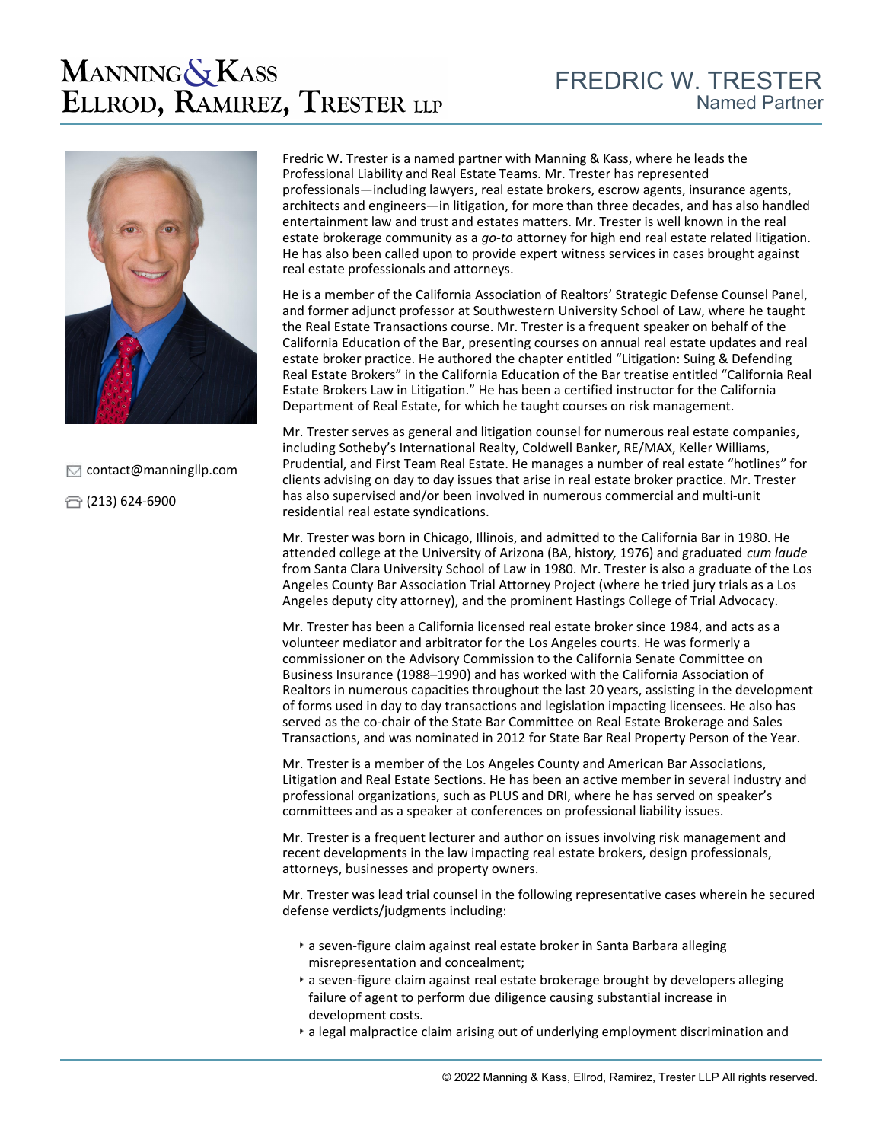## **MANNING & KASS** ELLROD, RAMIREZ, TRESTER LLP



 $\Box$  [contact@manningllp.com](mailto:contact@manningllp.com)

 $\bigoplus$  (213) 624-6900

Fredric W. Trester is a named partner with Manning & Kass, where he leads the Professional Liability and Real Estate Teams. Mr. Trester has represented professionals—including lawyers, real estate brokers, escrow agents, insurance agents, architects and engineers—in litigation, for more than three decades, and has also handled entertainment law and trust and estates matters. Mr. Trester is well known in the real estate brokerage community as a *go-to* attorney for high end real estate related litigation. He has also been called upon to provide expert witness services in cases brought against real estate professionals and attorneys.

He is a member of the California Association of Realtors' Strategic Defense Counsel Panel, and former adjunct professor at Southwestern University School of Law, where he taught the Real Estate Transactions course. Mr. Trester is a frequent speaker on behalf of the California Education of the Bar, presenting courses on annual real estate updates and real estate broker practice. He authored the chapter entitled "Litigation: Suing & Defending Real Estate Brokers" in the California Education of the Bar treatise entitled "California Real Estate Brokers Law in Litigation." He has been a certified instructor for the California Department of Real Estate, for which he taught courses on risk management.

Mr. Trester serves as general and litigation counsel for numerous real estate companies, including Sotheby's International Realty, Coldwell Banker, RE/MAX, Keller Williams, Prudential, and First Team Real Estate. He manages a number of real estate "hotlines" for clients advising on day to day issues that arise in real estate broker practice. Mr. Trester has also supervised and/or been involved in numerous commercial and multi-unit residential real estate syndications.

Mr. Trester was born in Chicago, Illinois, and admitted to the California Bar in 1980. He attended college at the University of Arizona (BA, histor*y,* 1976) and graduated *cum laude* from Santa Clara University School of Law in 1980. Mr. Trester is also a graduate of the Los Angeles County Bar Association Trial Attorney Project (where he tried jury trials as a Los Angeles deputy city attorney), and the prominent Hastings College of Trial Advocacy.

Mr. Trester has been a California licensed real estate broker since 1984, and acts as a volunteer mediator and arbitrator for the Los Angeles courts. He was formerly a commissioner on the Advisory Commission to the California Senate Committee on Business Insurance (1988–1990) and has worked with the California Association of Realtors in numerous capacities throughout the last 20 years, assisting in the development of forms used in day to day transactions and legislation impacting licensees. He also has served as the co-chair of the State Bar Committee on Real Estate Brokerage and Sales Transactions, and was nominated in 2012 for State Bar Real Property Person of the Year.

Mr. Trester is a member of the Los Angeles County and American Bar Associations, Litigation and Real Estate Sections. He has been an active member in several industry and professional organizations, such as PLUS and DRI, where he has served on speaker's committees and as a speaker at conferences on professional liability issues.

Mr. Trester is a frequent lecturer and author on issues involving risk management and recent developments in the law impacting real estate brokers, design professionals, attorneys, businesses and property owners.

Mr. Trester was lead trial counsel in the following representative cases wherein he secured defense verdicts/judgments including:

- a seven-figure claim against real estate broker in Santa Barbara alleging misrepresentation and concealment;
- a seven-figure claim against real estate brokerage brought by developers alleging failure of agent to perform due diligence causing substantial increase in development costs.
- a legal malpractice claim arising out of underlying employment discrimination and